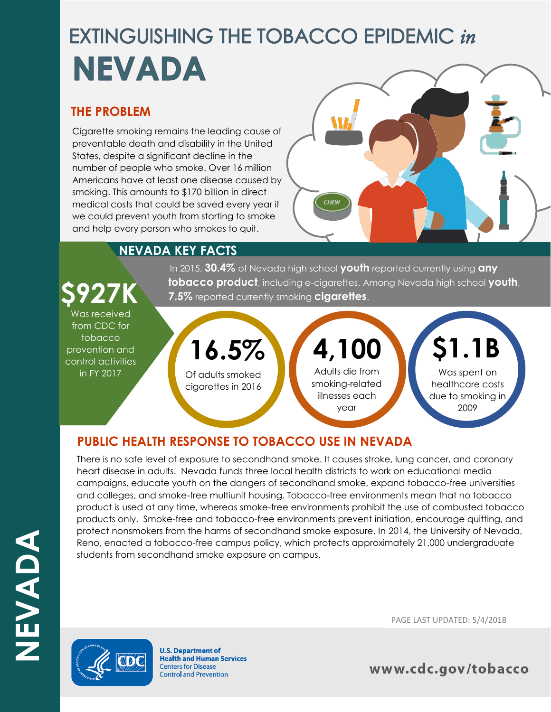# **EXTINGUISHING THE TOBACCO EPIDEMIC in** NEVADA

### **THE PROBLEM**

Cigarette smoking remains the leading cause of preventable death and disability in the United States, despite a significant decline in the number of people who smoke. Over 16 million Americans have at least one disease caused by smoking. This amounts to \$170 billion in direct medical costs that could be saved every year if we could prevent youth from starting to smoke and help every person who smokes to quit.



### **NEVADA KEY FACTS**

In 2015, **30.4%** of Nevada high school **youth** reported currently using **any tobacco product**, including e-cigarettes. Among Nevada high school **youth**, **7.5%** reported currently smoking **cigarettes**.

## Was received from CDC for

tobacco prevention and control activities in FY 2017

#### Of adults smoked cigarettes in 2016 **16.5%** Adults die from smoking-related illnesses each year **4,100** Was spent on healthcare costs due to smoking in 2009 **\$1.1B**

### **PUBLIC HEALTH RESPONSE TO TOBACCO USE IN NEVADA**

There is no safe level of exposure to secondhand smoke. It causes stroke, lung cancer, and coronary heart disease in adults. Nevada funds three local health districts to work on educational media campaigns, educate youth on the dangers of secondhand smoke, expand tobacco-free universities and colleges, and smoke-free multiunit housing. Tobacco-free environments mean that no tobacco product is used at any time, whereas smoke-free environments prohibit the use of combusted tobacco products only. Smoke-free and tobacco-free environments prevent initiation, encourage quitting, and protect nonsmokers from the harms of secondhand smoke exposure. In 2014, the University of Nevada, Reno, enacted a tobacco-free campus policy, which protects approximately 21,000 undergraduate students from secondhand smoke exposure on campus.



**U.S. Department of Health and Human Services Centers for Disease Control and Prevention** 

PAGE LAST UPDATED: 5/4/2018

www.cdc.gov/tobacco